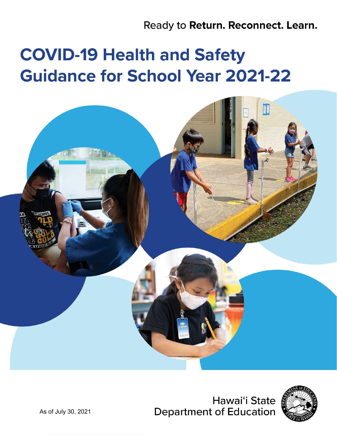Ready to Return. Reconnect. Learn.

# **COVID-19 Health and Safety Guidance for School Year 2021-22**



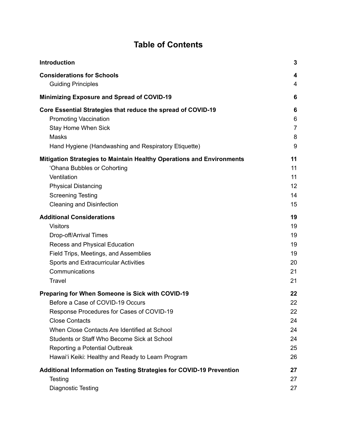# **Table of Contents**

| Introduction                                                          | $\mathbf{3}$   |
|-----------------------------------------------------------------------|----------------|
| <b>Considerations for Schools</b>                                     | 4              |
| <b>Guiding Principles</b>                                             | $\overline{4}$ |
| <b>Minimizing Exposure and Spread of COVID-19</b>                     | 6              |
| Core Essential Strategies that reduce the spread of COVID-19          | 6              |
| <b>Promoting Vaccination</b>                                          | 6              |
| <b>Stay Home When Sick</b>                                            | $\overline{7}$ |
| <b>Masks</b>                                                          | 8              |
| Hand Hygiene (Handwashing and Respiratory Etiquette)                  | 9              |
| Mitigation Strategies to Maintain Healthy Operations and Environments | 11             |
| 'Ohana Bubbles or Cohorting                                           | 11             |
| Ventilation                                                           | 11             |
| <b>Physical Distancing</b>                                            | 12             |
| <b>Screening Testing</b>                                              | 14             |
| <b>Cleaning and Disinfection</b>                                      | 15             |
| <b>Additional Considerations</b>                                      | 19             |
| <b>Visitors</b>                                                       | 19             |
| Drop-off/Arrival Times                                                | 19             |
| Recess and Physical Education                                         | 19             |
| Field Trips, Meetings, and Assemblies                                 | 19             |
| <b>Sports and Extracurricular Activities</b>                          | 20             |
| Communications                                                        | 21             |
| <b>Travel</b>                                                         | 21             |
| Preparing for When Someone is Sick with COVID-19                      | 22             |
| Before a Case of COVID-19 Occurs                                      | 22             |
| Response Procedures for Cases of COVID-19                             | 22             |
| <b>Close Contacts</b>                                                 | 24             |
| When Close Contacts Are Identified at School                          | 24             |
| Students or Staff Who Become Sick at School                           | 24             |
| Reporting a Potential Outbreak                                        | 25             |
| Hawai'i Keiki: Healthy and Ready to Learn Program                     | 26             |
| Additional Information on Testing Strategies for COVID-19 Prevention  | 27             |
| Testing                                                               | 27             |
| <b>Diagnostic Testing</b>                                             | 27             |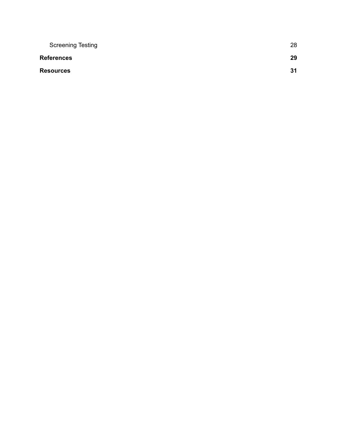| <b>Screening Testing</b> | 28 |
|--------------------------|----|
| <b>References</b>        | 29 |
| <b>Resources</b>         | 31 |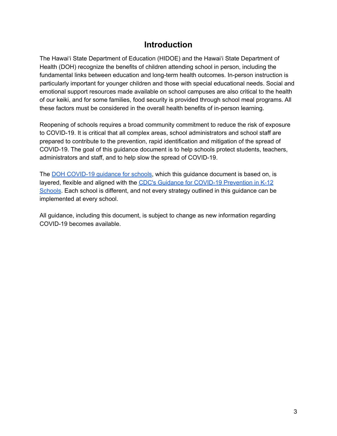## **Introduction**

<span id="page-3-0"></span>The Hawai'i State Department of Education (HIDOE) and the Hawai'i State Department of Health (DOH) recognize the benefits of children attending school in person, including the fundamental links between education and long-term health outcomes. In-person instruction is particularly important for younger children and those with special educational needs. Social and emotional support resources made available on school campuses are also critical to the health of our keiki, and for some families, food security is provided through school meal programs. All these factors must be considered in the overall health benefits of in-person learning.

Reopening of schools requires a broad community commitment to reduce the risk of exposure to COVID-19. It is critical that all complex areas, school administrators and school staff are prepared to contribute to the prevention, rapid identification and mitigation of the spread of COVID-19. The goal of this guidance document is to help schools protect students, teachers, administrators and staff, and to help slow the spread of COVID-19.

The DOH [COVID-19](https://health.hawaii.gov/coronavirusdisease2019/files/2021/03/COVID-19-Guidance-for-Schools-Updated-Mar-12-2021.pdf) guidance for schools, which this guidance document is based on, is layered, flexible and aligned with the CDC's Guidance for COVID-19 [Prevention](https://www.cdc.gov/coronavirus/2019-ncov/community/schools-childcare/k-12-guidance.html) in K-12 [Schools](https://www.cdc.gov/coronavirus/2019-ncov/community/schools-childcare/k-12-guidance.html). Each school is different, and not every strategy outlined in this guidance can be implemented at every school.

All guidance, including this document, is subject to change as new information regarding COVID-19 becomes available.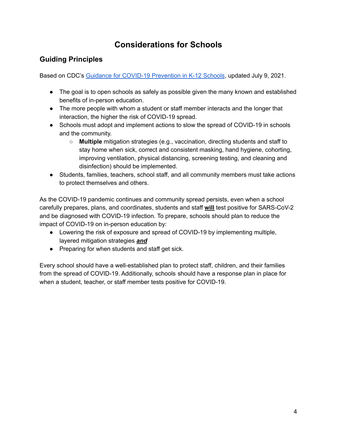# **Considerations for Schools**

## <span id="page-4-1"></span><span id="page-4-0"></span>**Guiding Principles**

Based on CDC's Guidance for COVID-19 [Prevention](https://www.cdc.gov/coronavirus/2019-ncov/community/schools-childcare/k-12-guidance.html) in K-12 Schools, updated July 9, 2021.

- The goal is to open schools as safely as possible given the many known and established benefits of in-person education.
- The more people with whom a student or staff member interacts and the longer that interaction, the higher the risk of COVID-19 spread.
- Schools must adopt and implement actions to slow the spread of COVID-19 in schools and the community.
	- **Multiple** mitigation strategies (e.g., vaccination, directing students and staff to stay home when sick, correct and consistent masking, hand hygiene, cohorting, improving ventilation, physical distancing, screening testing, and cleaning and disinfection) should be implemented.
- Students, families, teachers, school staff, and all community members must take actions to protect themselves and others.

As the COVID-19 pandemic continues and community spread persists, even when a school carefully prepares, plans, and coordinates, students and staff **will** test positive for SARS-CoV-2 and be diagnosed with COVID-19 infection. To prepare, schools should plan to reduce the impact of COVID-19 on in-person education by:

- Lowering the risk of exposure and spread of COVID-19 by implementing multiple, layered mitigation strategies *and*
- Preparing for when students and staff get sick.

Every school should have a well-established plan to protect staff, children, and their families from the spread of COVID-19. Additionally, schools should have a response plan in place for when a student, teacher, or staff member tests positive for COVID-19.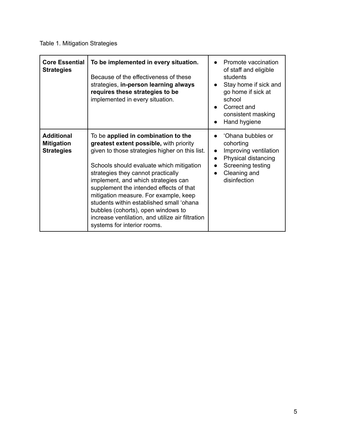| <b>Core Essential</b><br><b>Strategies</b>                  | To be implemented in every situation.<br>Because of the effectiveness of these<br>strategies, in-person learning always<br>requires these strategies to be<br>implemented in every situation.                                                                                                                                                                                                                                                                                                                      | Promote vaccination<br>of staff and eligible<br>students<br>Stay home if sick and<br>$\bullet$<br>go home if sick at<br>school<br>Correct and<br>consistent masking<br>Hand hygiene |
|-------------------------------------------------------------|--------------------------------------------------------------------------------------------------------------------------------------------------------------------------------------------------------------------------------------------------------------------------------------------------------------------------------------------------------------------------------------------------------------------------------------------------------------------------------------------------------------------|-------------------------------------------------------------------------------------------------------------------------------------------------------------------------------------|
| <b>Additional</b><br><b>Mitigation</b><br><b>Strategies</b> | To be applied in combination to the<br>greatest extent possible, with priority<br>given to those strategies higher on this list.<br>Schools should evaluate which mitigation<br>strategies they cannot practically<br>implement, and which strategies can<br>supplement the intended effects of that<br>mitigation measure. For example, keep<br>students within established small 'ohana<br>bubbles (cohorts), open windows to<br>increase ventilation, and utilize air filtration<br>systems for interior rooms. | 'Ohana bubbles or<br>cohorting<br>Improving ventilation<br>$\bullet$<br>Physical distancing<br>Screening testing<br>Cleaning and<br>disinfection                                    |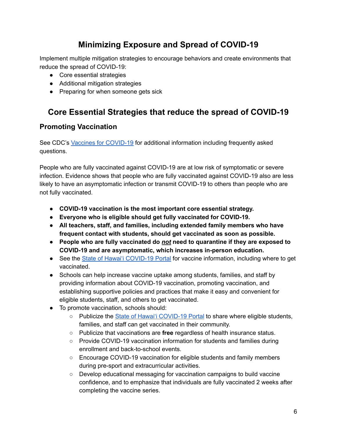# **Minimizing Exposure and Spread of COVID-19**

<span id="page-6-0"></span>Implement multiple mitigation strategies to encourage behaviors and create environments that reduce the spread of COVID-19:

- Core essential strategies
- Additional mitigation strategies
- Preparing for when someone gets sick

# <span id="page-6-1"></span>**Core Essential Strategies that reduce the spread of COVID-19**

## <span id="page-6-2"></span>**Promoting Vaccination**

See CDC's Vaccines for [COVID-19](https://www.cdc.gov/coronavirus/2019-ncov/vaccines/index.html) for additional information including frequently asked questions.

People who are fully vaccinated against COVID-19 are at low risk of symptomatic or severe infection. Evidence shows that people who are fully vaccinated against COVID-19 also are less likely to have an asymptomatic infection or transmit COVID-19 to others than people who are not fully vaccinated.

- **● COVID-19 vaccination is the most important core essential strategy.**
- **● Everyone who is eligible should get fully vaccinated for COVID-19.**
- **● All teachers, staff, and families, including extended family members who have frequent contact with students, should get vaccinated as soon as possible.**
- **● People who are fully vaccinated do** *not* **need to quarantine if they are exposed to COVID-19 and are asymptomatic, which increases in-person education.**
- See the State of Hawai'i [COVID-19](https://hawaiicovid19.com/vaccine/) Portal for vaccine information, including where to get vaccinated.
- Schools can help increase vaccine uptake among students, families, and staff by providing information about COVID-19 vaccination, promoting vaccination, and establishing supportive policies and practices that make it easy and convenient for eligible students, staff, and others to get vaccinated.
- To promote vaccination, schools should:
	- Publicize the State of Hawai'i [COVID-19](https://hawaiicovid19.com/vaccine/) Portal to share where eligible students, families, and staff can get vaccinated in their community.
	- Publicize that vaccinations are **free** regardless of health insurance status.
	- Provide COVID-19 vaccination information for students and families during enrollment and back-to-school events.
	- Encourage COVID-19 vaccination for eligible students and family members during pre-sport and extracurricular activities.
	- Develop educational messaging for vaccination campaigns to build vaccine confidence, and to emphasize that individuals are fully vaccinated 2 weeks after completing the vaccine series.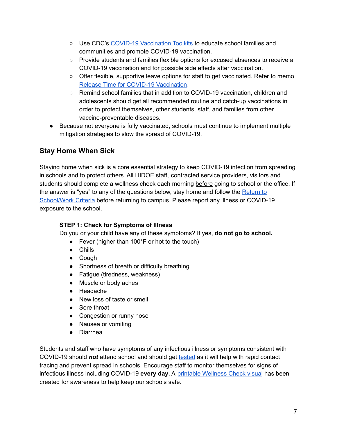- Use CDC's COVID-19 [Vaccination](https://www.cdc.gov/coronavirus/2019-ncov/vaccines/toolkits/health-departments.html) Toolkits to educate school families and communities and promote COVID-19 vaccination.
- Provide students and families flexible options for excused absences to receive a COVID-19 vaccination and for possible side effects after vaccination.
- Offer flexible, supportive leave options for staff to get vaccinated. Refer to memo Release Time for COVID-19 [Vaccination](https://alala1.k12.hi.us/PUBLIC/DOEMEMOS.NSF/c43efd5c660087e10a2575cf0064fb92/591d10ad282b4c330a2586650081db57).
- Remind school families that in addition to COVID-19 vaccination, children and adolescents should get all recommended routine and catch-up vaccinations in order to protect themselves, other students, staff, and families from other vaccine-preventable diseases.
- Because not everyone is fully vaccinated, schools must continue to implement multiple mitigation strategies to slow the spread of COVID-19.

## <span id="page-7-0"></span>**Stay Home When Sick**

Staying home when sick is a core essential strategy to keep COVID-19 infection from spreading in schools and to protect others. All HIDOE staff, contracted service providers, visitors and students should complete a wellness check each morning before going to school or the office. If the answer is "yes" to any of the questions below, stay home and follow the [Return](https://www.hawaiipublicschools.org/DOE%20Forms/Return%20to%20School%20Work%20and%20Daily%20Wellness%20Check.pdf) to [School/Work](https://www.hawaiipublicschools.org/DOE%20Forms/Return%20to%20School%20Work%20and%20Daily%20Wellness%20Check.pdf) Criteria before returning to campus. Please report any illness or COVID-19 exposure to the school.

#### **STEP 1: Check for Symptoms of Illness**

Do you or your child have any of these symptoms? If yes, **do not go to school.**

- Fever (higher than 100°F or hot to the touch)
- Chills
- Cough
- Shortness of breath or difficulty breathing
- Fatigue (tiredness, weakness)
- Muscle or body aches
- Headache
- New loss of taste or smell
- Sore throat
- Congestion or runny nose
- Nausea or vomiting
- Diarrhea

Students and staff who have symptoms of any infectious illness or symptoms consistent with COVID-19 should *not* attend school and should get [tested](#page-27-2) as it will help with rapid contact tracing and prevent spread in schools. Encourage staff to monitor themselves for signs of infectious illness including COVID-19 **every day**. A printable [Wellness](https://www.hawaiipublicschools.org/DOE%20Forms/Return%20to%20School%20Work%20and%20Daily%20Wellness%20Check.pdf) Check visual has been created for awareness to help keep our schools safe.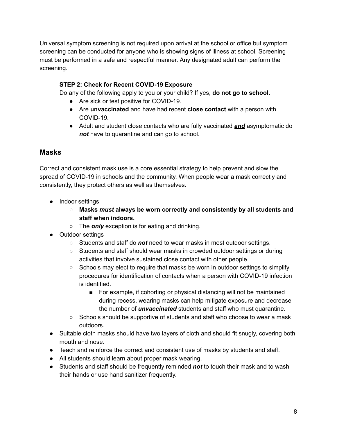Universal symptom screening is not required upon arrival at the school or office but symptom screening can be conducted for anyone who is showing signs of illness at school. Screening must be performed in a safe and respectful manner. Any designated adult can perform the screening.

#### **STEP 2: Check for Recent COVID-19 Exposure**

Do any of the following apply to you or your child? If yes, **do not go to school.**

- Are sick or test positive for COVID-19.
- Are **unvaccinated** and have had recent **close contact** with a person with COVID-19.
- Adult and student close contacts who are fully vaccinated *and* asymptomatic do *not* have to quarantine and can go to school.

#### <span id="page-8-0"></span>**Masks**

Correct and consistent mask use is a core essential strategy to help prevent and slow the spread of COVID-19 in schools and the community. When people wear a mask correctly and consistently, they protect others as well as themselves.

- Indoor settings
	- **○ Masks** *must* **always be worn correctly and consistently by all students and staff when indoors.**
	- The *only* exception is for eating and drinking.
- Outdoor settings
	- Students and staff do *not* need to wear masks in most outdoor settings.
	- Students and staff should wear masks in crowded outdoor settings or during activities that involve sustained close contact with other people.
	- Schools may elect to require that masks be worn in outdoor settings to simplify procedures for identification of contacts when a person with COVID-19 infection is identified.
		- For example, if cohorting or physical distancing will not be maintained during recess, wearing masks can help mitigate exposure and decrease the number of *unvaccinated* students and staff who must quarantine.
	- Schools should be supportive of students and staff who choose to wear a mask outdoors.
- Suitable cloth masks should have two layers of cloth and should fit snugly, covering both mouth and nose.
- Teach and reinforce the correct and consistent use of masks by students and staff.
- All students should learn about proper mask wearing.
- Students and staff should be frequently reminded *not* to touch their mask and to wash their hands or use hand sanitizer frequently.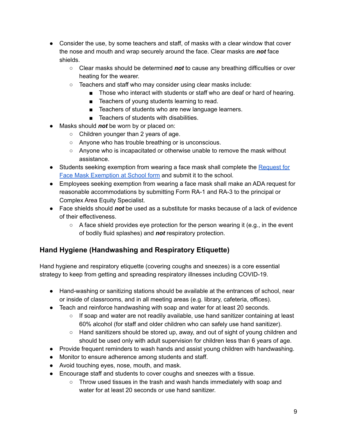- Consider the use, by some teachers and staff, of masks with a clear window that cover the nose and mouth and wrap securely around the face. Clear masks are *not* face shields.
	- Clear masks should be determined *not* to cause any breathing difficulties or over heating for the wearer.
	- Teachers and staff who may consider using clear masks include:
		- Those who interact with students or staff who are deaf or hard of hearing.
		- Teachers of young students learning to read.
		- Teachers of students who are new language learners.
		- Teachers of students with disabilities.
- Masks should *not* be worn by or placed on:
	- Children younger than 2 years of age.
	- Anyone who has trouble breathing or is unconscious.
	- Anyone who is incapacitated or otherwise unable to remove the mask without assistance.
- Students seeking exemption from wearing a face mask shall complete the [Request](https://hidoe.sharepoint.com/:b:/s/offices-osss/ERz7sscUAM9Gr5rnHGXFAAoB-mGv4y3-wzH2hF-GmZYC2A?e=XcTzUS) for Face Mask [Exemption](https://hidoe.sharepoint.com/:b:/s/offices-osss/ERz7sscUAM9Gr5rnHGXFAAoB-mGv4y3-wzH2hF-GmZYC2A?e=XcTzUS) at School form and submit it to the school.
- Employees seeking exemption from wearing a face mask shall make an ADA request for reasonable accommodations by submitting Form RA-1 and RA-3 to the principal or Complex Area Equity Specialist.
- Face shields should *not* be used as a substitute for masks because of a lack of evidence of their effectiveness.
	- $\circ$  A face shield provides eye protection for the person wearing it (e.g., in the event of bodily fluid splashes) and *not* respiratory protection.

## <span id="page-9-0"></span>**Hand Hygiene (Handwashing and Respiratory Etiquette)**

Hand hygiene and respiratory etiquette (covering coughs and sneezes) is a core essential strategy to keep from getting and spreading respiratory illnesses including COVID-19.

- Hand-washing or sanitizing stations should be available at the entrances of school, near or inside of classrooms, and in all meeting areas (e.g. library, cafeteria, offices).
- Teach and reinforce handwashing with soap and water for at least 20 seconds.
	- $\circ$  If soap and water are not readily available, use hand sanitizer containing at least 60% alcohol (for staff and older children who can safely use hand sanitizer).
	- Hand sanitizers should be stored up, away, and out of sight of young children and should be used only with adult supervision for children less than 6 years of age.
- Provide frequent reminders to wash hands and assist young children with handwashing.
- Monitor to ensure adherence among students and staff.
- Avoid touching eyes, nose, mouth, and mask.
- Encourage staff and students to cover coughs and sneezes with a tissue.
	- Throw used tissues in the trash and wash hands immediately with soap and water for at least 20 seconds or use hand sanitizer.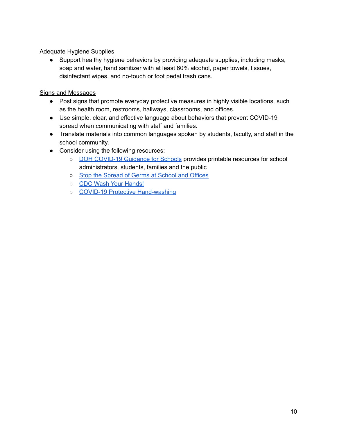#### Adequate Hygiene Supplies

● Support healthy hygiene behaviors by providing adequate supplies, including masks, soap and water, hand sanitizer with at least 60% alcohol, paper towels, tissues, disinfectant wipes, and no-touch or foot pedal trash cans.

#### Signs and Messages

- Post signs that promote everyday protective measures in highly visible locations, such as the health room, restrooms, hallways, classrooms, and offices.
- Use simple, clear, and effective language about behaviors that prevent COVID-19 spread when communicating with staff and families.
- Translate materials into common languages spoken by students, faculty, and staff in the school community.
- Consider using the following resources:
	- **DOH [COVID-19](https://health.hawaii.gov/coronavirusdisease2019/resources/school-guidance/) Guidance for Schools provides printable resources for school** administrators, students, families and the public
	- o Stop the [Spread](https://hidoe.sharepoint.com/:b:/s/offices-osss/ERz7sscUAM9Gr5rnHGXFAAoB-mGv4y3-wzH2hF-GmZYC2A?e=XcTzUS) of Germs at School and Offices
	- o CDC Wash Your [Hands!](https://www.cdc.gov/handwashing/pdf/wash-your-hands-steps-8x11.pdf)
	- COVID-19 Protective [Hand-washing](https://hawaiicovid19.com/wp-content/uploads/2020/03/Fact-Sheet-Hand-Washing_031820.pdf)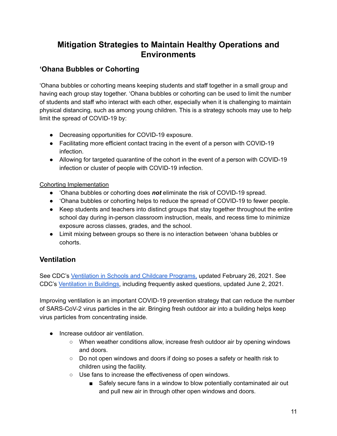## **Mitigation Strategies to Maintain Healthy Operations and Environments**

## <span id="page-11-1"></span><span id="page-11-0"></span>**'Ohana Bubbles or Cohorting**

'Ohana bubbles or cohorting means keeping students and staff together in a small group and having each group stay together. 'Ohana bubbles or cohorting can be used to limit the number of students and staff who interact with each other, especially when it is challenging to maintain physical distancing, such as among young children. This is a strategy schools may use to help limit the spread of COVID-19 by:

- Decreasing opportunities for COVID-19 exposure.
- Facilitating more efficient contact tracing in the event of a person with COVID-19 infection.
- Allowing for targeted quarantine of the cohort in the event of a person with COVID-19 infection or cluster of people with COVID-19 infection.

#### Cohorting Implementation

- 'Ohana bubbles or cohorting does *not* eliminate the risk of COVID-19 spread.
- 'Ohana bubbles or cohorting helps to reduce the spread of COVID-19 to fewer people.
- Keep students and teachers into distinct groups that stay together throughout the entire school day during in-person classroom instruction, meals, and recess time to minimize exposure across classes, grades, and the school.
- Limit mixing between groups so there is no interaction between 'ohana bubbles or cohorts.

## <span id="page-11-2"></span>**Ventilation**

See CDC's [Ventilation](https://www.cdc.gov/coronavirus/2019-ncov/community/schools-childcare/ventilation.html) in Schools and Childcare Programs, updated February 26, 2021. See CDC's [Ventilation](https://www.cdc.gov/coronavirus/2019-ncov/community/ventilation.html#Ventilation-FAQs) in Buildings, including frequently asked questions, updated June 2, 2021.

Improving ventilation is an important COVID-19 prevention strategy that can reduce the number of SARS-CoV-2 virus particles in the air. Bringing fresh outdoor air into a building helps keep virus particles from concentrating inside.

- Increase outdoor air ventilation.
	- When weather conditions allow, increase fresh outdoor air by opening windows and doors.
	- Do not open windows and doors if doing so poses a safety or health risk to children using the facility.
	- Use fans to increase the effectiveness of open windows.
		- Safely secure fans in a window to blow potentially contaminated air out and pull new air in through other open windows and doors.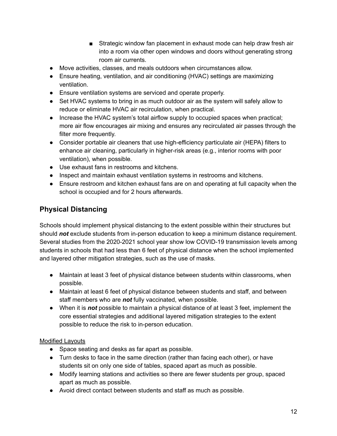- Strategic window fan placement in exhaust mode can help draw fresh air into a room via other open windows and doors without generating strong room air currents.
- Move activities, classes, and meals outdoors when circumstances allow.
- Ensure heating, ventilation, and air conditioning (HVAC) settings are maximizing ventilation.
- Ensure ventilation systems are serviced and operate properly.
- Set HVAC systems to bring in as much outdoor air as the system will safely allow to reduce or eliminate HVAC air recirculation, when practical.
- Increase the HVAC system's total airflow supply to occupied spaces when practical; more air flow encourages air mixing and ensures any recirculated air passes through the filter more frequently.
- Consider portable air cleaners that use high-efficiency particulate air (HEPA) filters to enhance air cleaning, particularly in higher-risk areas (e.g., interior rooms with poor ventilation), when possible.
- Use exhaust fans in restrooms and kitchens.
- Inspect and maintain exhaust ventilation systems in restrooms and kitchens.
- Ensure restroom and kitchen exhaust fans are on and operating at full capacity when the school is occupied and for 2 hours afterwards.

## <span id="page-12-0"></span>**Physical Distancing**

Schools should implement physical distancing to the extent possible within their structures but should *not* exclude students from in-person education to keep a minimum distance requirement. Several studies from the 2020-2021 school year show low COVID-19 transmission levels among students in schools that had less than 6 feet of physical distance when the school implemented and layered other mitigation strategies, such as the use of masks.

- Maintain at least 3 feet of physical distance between students within classrooms, when possible.
- Maintain at least 6 feet of physical distance between students and staff, and between staff members who are *not* fully vaccinated, when possible.
- When it is *not* possible to maintain a physical distance of at least 3 feet, implement the core essential strategies and additional layered mitigation strategies to the extent possible to reduce the risk to in-person education.

#### Modified Layouts

- Space seating and desks as far apart as possible.
- Turn desks to face in the same direction (rather than facing each other), or have students sit on only one side of tables, spaced apart as much as possible.
- Modify learning stations and activities so there are fewer students per group, spaced apart as much as possible.
- Avoid direct contact between students and staff as much as possible.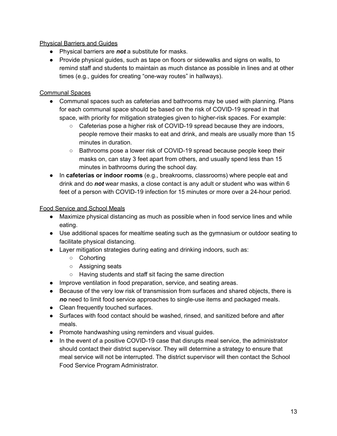#### Physical Barriers and Guides

- Physical barriers are *not* a substitute for masks.
- Provide physical guides, such as tape on floors or sidewalks and signs on walls, to remind staff and students to maintain as much distance as possible in lines and at other times (e.g., guides for creating "one-way routes" in hallways).

#### Communal Spaces

- Communal spaces such as cafeterias and bathrooms may be used with planning. Plans for each communal space should be based on the risk of COVID-19 spread in that space, with priority for mitigation strategies given to higher-risk spaces. For example:
	- $\circ$  Cafeterias pose a higher risk of COVID-19 spread because they are indoors, people remove their masks to eat and drink, and meals are usually more than 15 minutes in duration.
	- Bathrooms pose a lower risk of COVID-19 spread because people keep their masks on, can stay 3 feet apart from others, and usually spend less than 15 minutes in bathrooms during the school day.
- In **cafeterias or indoor rooms** (e.g., breakrooms, classrooms) where people eat and drink and do *not* wear masks, a close contact is any adult or student who was within 6 feet of a person with COVID-19 infection for 15 minutes or more over a 24-hour period.

#### Food Service and School Meals

- Maximize physical distancing as much as possible when in food service lines and while eating.
- Use additional spaces for mealtime seating such as the gymnasium or outdoor seating to facilitate physical distancing.
- Layer mitigation strategies during eating and drinking indoors, such as:
	- Cohorting
	- Assigning seats
	- Having students and staff sit facing the same direction
- Improve ventilation in food preparation, service, and seating areas.
- Because of the very low risk of transmission from surfaces and shared objects, there is *no* need to limit food service approaches to single-use items and packaged meals.
- Clean frequently touched surfaces.
- Surfaces with food contact should be washed, rinsed, and sanitized before and after meals.
- Promote handwashing using reminders and visual guides.
- In the event of a positive COVID-19 case that disrupts meal service, the administrator should contact their district supervisor. They will determine a strategy to ensure that meal service will not be interrupted. The district supervisor will then contact the School Food Service Program Administrator.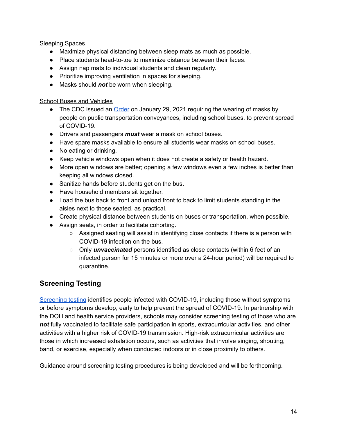#### Sleeping Spaces

- Maximize physical distancing between sleep mats as much as possible.
- Place students head-to-toe to maximize distance between their faces.
- Assign nap mats to individual students and clean regularly.
- Prioritize improving ventilation in spaces for sleeping.
- Masks should *not* be worn when sleeping.

#### School Buses and Vehicles

- The CDC issued an *[Order](https://www.cdc.gov/quarantine/pdf/Mask-Order-CDC_GMTF_01-29-21-p.pdf) on January 29, 2021 requiring the wearing of masks by* people on public transportation conveyances, including school buses, to prevent spread of COVID-19.
- Drivers and passengers *must* wear a mask on school buses.
- Have spare masks available to ensure all students wear masks on school buses.
- No eating or drinking.
- Keep vehicle windows open when it does not create a safety or health hazard.
- More open windows are better; opening a few windows even a few inches is better than keeping all windows closed.
- Sanitize hands before students get on the bus.
- Have household members sit together.
- Load the bus back to front and unload front to back to limit students standing in the aisles next to those seated, as practical.
- Create physical distance between students on buses or transportation, when possible.
- Assign seats, in order to facilitate cohorting.
	- $\circ$  Assigned seating will assist in identifying close contacts if there is a person with COVID-19 infection on the bus.
	- Only *unvaccinated* persons identified as close contacts (within 6 feet of an infected person for 15 minutes or more over a 24-hour period) will be required to quarantine.

## <span id="page-14-0"></span>**Screening Testing**

[Screening](#page-28-0) testing identifies people infected with COVID-19, including those without symptoms or before symptoms develop, early to help prevent the spread of COVID-19. In partnership with the DOH and health service providers, schools may consider screening testing of those who are *not* fully vaccinated to facilitate safe participation in sports, extracurricular activities, and other activities with a higher risk of COVID-19 transmission. High-risk extracurricular activities are those in which increased exhalation occurs, such as activities that involve singing, shouting, band, or exercise, especially when conducted indoors or in close proximity to others.

Guidance around screening testing procedures is being developed and will be forthcoming.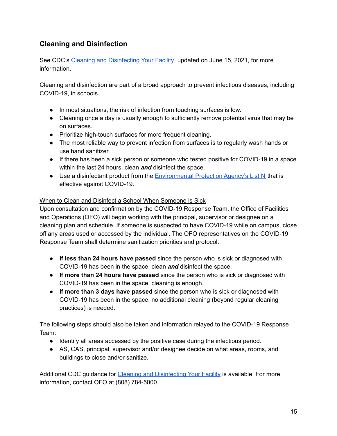## <span id="page-15-0"></span>**Cleaning and Disinfection**

See CDC's Cleaning and [Disinfecting](https://www.cdc.gov/coronavirus/2019-ncov/community/disinfecting-building-facility.html) Your Facility, updated on June 15, 2021, for more information.

Cleaning and disinfection are part of a broad approach to prevent infectious diseases, including COVID-19, in schools.

- In most situations, the risk of infection from touching surfaces is low.
- Cleaning once a day is usually enough to sufficiently remove potential virus that may be on surfaces.
- Prioritize high-touch surfaces for more frequent cleaning.
- The most reliable way to prevent infection from surfaces is to regularly wash hands or use hand sanitizer.
- If there has been a sick person or someone who tested positive for COVID-19 in a space within the last 24 hours, clean *and* disinfect the space.
- Use a disinfectant product from the [Environmental](https://www.epa.gov/coronavirus/about-list-n-disinfectants-coronavirus-covid-19-0) Protection Agency's List N that is effective against COVID-19.

#### When to Clean and Disinfect a School When Someone is Sick

Upon consultation and confirmation by the COVID-19 Response Team, the Office of Facilities and Operations (OFO) will begin working with the principal, supervisor or designee on a cleaning plan and schedule. If someone is suspected to have COVID-19 while on campus, close off any areas used or accessed by the individual. The OFO representatives on the COVID-19 Response Team shall determine sanitization priorities and protocol.

- **If less than 24 hours have passed** since the person who is sick or diagnosed with COVID-19 has been in the space, clean *and* disinfect the space.
- **If more than 24 hours have passed** since the person who is sick or diagnosed with COVID-19 has been in the space, cleaning is enough.
- **If more than 3 days have passed** since the person who is sick or diagnosed with COVID-19 has been in the space, no additional cleaning (beyond regular cleaning practices) is needed.

The following steps should also be taken and information relayed to the COVID-19 Response Team:

- Identify all areas accessed by the positive case during the infectious period.
- AS, CAS, principal, supervisor and/or designee decide on what areas, rooms, and buildings to close and/or sanitize.

Additional CDC guidance for Cleaning and [Disinfecting](https://www.cdc.gov/coronavirus/2019-ncov/community/disinfecting-building-facility.html) Your Facility is available. For more information, contact OFO at (808) 784-5000.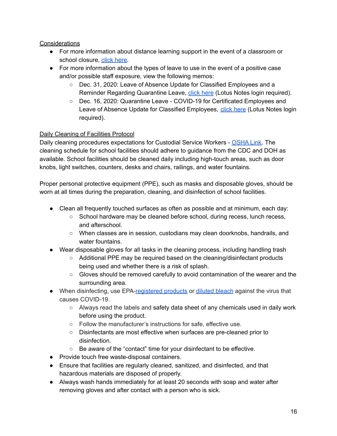#### **Considerations**

- For more information about distance learning support in the event of a classroom or school closure, click [here.](http://www.hawaiipublicschools.org/DOE%20Forms/DigitalTransformationforLearningPlan.pdf)
- For more information about the types of leave to use in the event of a positive case and/or possible staff exposure, view the following memos:
	- Dec. 31, 2020: Leave of Absence Update for Classified Employees and a Reminder Regarding Quarantine Leave, click [here](https://alala1.k12.hi.us/PUBLIC/DOEMEMOS.NSF/c43efd5c660087e10a2575cf0064fb92/567a39617410540c0a258650000f6600?OpenDocument) (Lotus Notes login required).
	- Dec. 16, 2020: Quarantine Leave COVID-19 for Certificated Employees and Leave of Absence Update for Classified Employees, click [here](https://alala1.k12.hi.us/PUBLIC/DOEMEMOS.NSF/c43efd5c660087e10a2575cf0064fb92/55048a8f745530230a258640006a9f5e?OpenDocument) (Lotus Notes login required).

#### Daily Cleaning of Facilities Protocol

Daily cleaning procedures expectations for Custodial Service Workers - [OSHA](https://www.osha.gov/SLTC/covid-19/environmental-services.html) Link. The cleaning schedule for school facilities should adhere to guidance from the CDC and DOH as available. School facilities should be cleaned daily including high-touch areas, such as door knobs, light switches, counters, desks and chairs, railings, and water fountains.

Proper personal protective equipment (PPE), such as masks and disposable gloves, should be worn at all times during the preparation, cleaning, and disinfection of school facilities.

- Clean all frequently touched surfaces as often as possible and at minimum, each day:
	- School hardware may be cleaned before school, during recess, lunch recess, and afterschool.
	- When classes are in session, custodians may clean doorknobs, handrails, and water fountains.
- Wear disposable gloves for all tasks in the cleaning process, including handling trash
	- Additional PPE may be required based on the cleaning/disinfectant products being used and whether there is a risk of splash.
	- Gloves should be removed carefully to avoid contamination of the wearer and the surrounding area.
- When disinfecting, use EPA[-registered](https://www.epa.gov/pesticide-registration/list-n-disinfectants-use-against-sars-cov-2-covid-19) products or [diluted](https://www.cdc.gov/coronavirus/2019-ncov/prevent-getting-sick/cleaning-disinfection.html) bleach against the virus that causes COVID-19.
	- $\circ$  Always read the labels and safety data sheet of any chemicals used in daily work before using the product.
	- Follow the manufacturer's instructions for safe, effective use.
	- Disinfectants are most effective when surfaces are pre-cleaned prior to disinfection.
	- Be aware of the "contact" time for your disinfectant to be effective.
- Provide touch free waste-disposal containers.
- Ensure that facilities are regularly cleaned, sanitized, and disinfected, and that hazardous materials are disposed of properly.
- Always wash hands immediately for at least 20 seconds with soap and water after removing gloves and after contact with a person who is sick.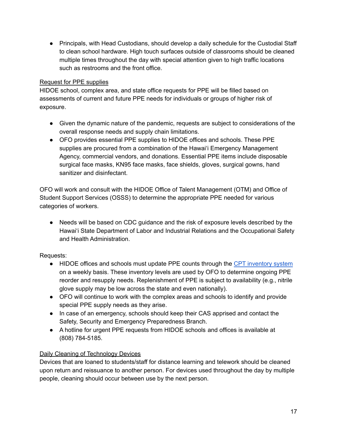● Principals, with Head Custodians, should develop a daily schedule for the Custodial Staff to clean school hardware. High touch surfaces outside of classrooms should be cleaned multiple times throughout the day with special attention given to high traffic locations such as restrooms and the front office.

#### Request for PPE supplies

HIDOE school, complex area, and state office requests for PPE will be filled based on assessments of current and future PPE needs for individuals or groups of higher risk of exposure.

- Given the dynamic nature of the pandemic, requests are subject to considerations of the overall response needs and supply chain limitations.
- OFO provides essential PPE supplies to HIDOE offices and schools. These PPE supplies are procured from a combination of the Hawai'i Emergency Management Agency, commercial vendors, and donations. Essential PPE items include disposable surgical face masks, KN95 face masks, face shields, gloves, surgical gowns, hand sanitizer and disinfectant.

OFO will work and consult with the HIDOE Office of Talent Management (OTM) and Office of Student Support Services (OSSS) to determine the appropriate PPE needed for various categories of workers.

• Needs will be based on CDC guidance and the risk of exposure levels described by the Hawai'i State Department of Labor and Industrial Relations and the Occupational Safety and Health Administration.

Requests:

- HIDOE offices and schools must update PPE counts through the CPT [inventory](https://www.hidoefacilities.org///index.php?cbr=c8ad50005459d31cbcfb4d079cb3) system on a weekly basis. These inventory levels are used by OFO to determine ongoing PPE reorder and resupply needs. Replenishment of PPE is subject to availability (e.g., nitrile glove supply may be low across the state and even nationally).
- OFO will continue to work with the complex areas and schools to identify and provide special PPE supply needs as they arise.
- In case of an emergency, schools should keep their CAS apprised and contact the Safety, Security and Emergency Preparedness Branch.
- A hotline for urgent PPE requests from HIDOE schools and offices is available at (808) 784-5185.

#### Daily Cleaning of Technology Devices

Devices that are loaned to students/staff for distance learning and telework should be cleaned upon return and reissuance to another person. For devices used throughout the day by multiple people, cleaning should occur between use by the next person.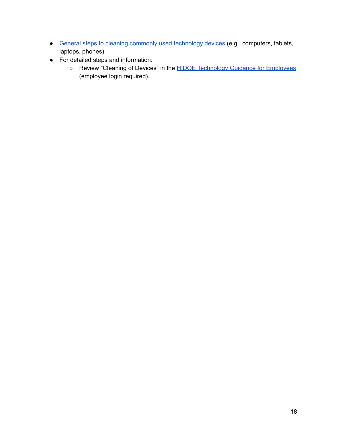- General steps to cleaning commonly used [technology](https://hidoe.sharepoint.com/:b:/r/sites/offices-ofo/Documents/Cleaning%20of%20Devices%20-%20General%20Instructions.pdf?csf=1&web=1&e=QOPLCN) devices (e.g., computers, tablets, laptops, phones)
- For detailed steps and information:
	- Review "Cleaning of Devices" in the **HIDOE [Technology](https://hidoe.service-now.com/sp?id=kb_article&sysparm_article=KB0011472) Guidance for Employees** (employee login required).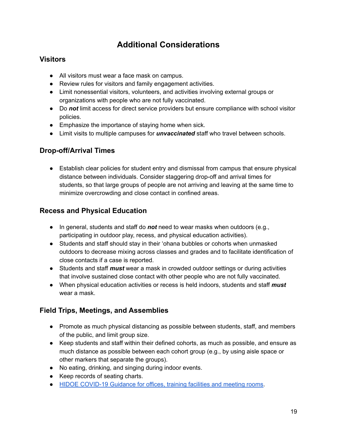# **Additional Considerations**

## <span id="page-19-1"></span><span id="page-19-0"></span>**Visitors**

- All visitors must wear a face mask on campus.
- Review rules for visitors and family engagement activities.
- Limit nonessential visitors, volunteers, and activities involving external groups or organizations with people who are not fully vaccinated.
- Do *not* limit access for direct service providers but ensure compliance with school visitor policies.
- Emphasize the importance of staying home when sick.
- Limit visits to multiple campuses for *unvaccinated* staff who travel between schools.

## <span id="page-19-2"></span>**Drop-off/Arrival Times**

● Establish clear policies for student entry and dismissal from campus that ensure physical distance between individuals. Consider staggering drop-off and arrival times for students, so that large groups of people are not arriving and leaving at the same time to minimize overcrowding and close contact in confined areas.

## <span id="page-19-3"></span>**Recess and Physical Education**

- In general, students and staff do *not* need to wear masks when outdoors (e.g., participating in outdoor play, recess, and physical education activities).
- Students and staff should stay in their 'ohana bubbles or cohorts when unmasked outdoors to decrease mixing across classes and grades and to facilitate identification of close contacts if a case is reported.
- Students and staff *must* wear a mask in crowded outdoor settings or during activities that involve sustained close contact with other people who are not fully vaccinated.
- When physical education activities or recess is held indoors, students and staff *must* wear a mask.

## <span id="page-19-4"></span>**Field Trips, Meetings, and Assemblies**

- Promote as much physical distancing as possible between students, staff, and members of the public, and limit group size.
- Keep students and staff within their defined cohorts, as much as possible, and ensure as much distance as possible between each cohort group (e.g., by using aisle space or other markers that separate the groups).
- No eating, drinking, and singing during indoor events.
- Keep records of seating charts.
- HIDOE [COVID-19](https://www.hawaiipublicschools.org/DOE%20Forms/HIDOE-Office-Training-Health-Guidance.pdf) Guidance for offices, training facilities and meeting rooms.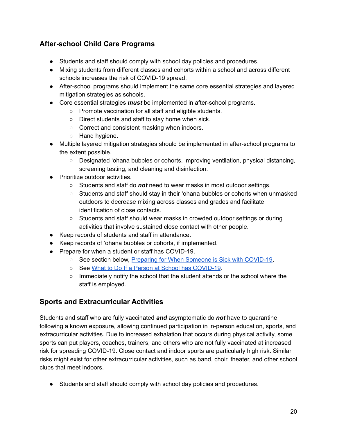## **After-school Child Care Programs**

- Students and staff should comply with school day policies and procedures.
- Mixing students from different classes and cohorts within a school and across different schools increases the risk of COVID-19 spread.
- After-school programs should implement the same core essential strategies and layered mitigation strategies as schools.
- Core essential strategies *must* be implemented in after-school programs.
	- Promote vaccination for all staff and eligible students.
	- Direct students and staff to stay home when sick.
	- Correct and consistent masking when indoors.
	- Hand hygiene.
- Multiple layered mitigation strategies should be implemented in after-school programs to the extent possible.
	- Designated 'ohana bubbles or cohorts, improving ventilation, physical distancing, screening testing, and cleaning and disinfection.
- Prioritize outdoor activities.
	- Students and staff do *not* need to wear masks in most outdoor settings.
	- Students and staff should stay in their 'ohana bubbles or cohorts when unmasked outdoors to decrease mixing across classes and grades and facilitate identification of close contacts.
	- Students and staff should wear masks in crowded outdoor settings or during activities that involve sustained close contact with other people.
- Keep records of students and staff in attendance.
- Keep records of 'ohana bubbles or cohorts, if implemented.
- Prepare for when a student or staff has COVID-19.
	- See section below, Preparing for When Someone is Sick with [COVID-19](#page-22-0).
	- See What to Do If a Person at School has [COVID-19](https://health.hawaii.gov/coronavirusdisease2019/files/2020/08/What-To-Do-If-A-Person-at-School-Has-COVID-19-080520.pdf).
	- Immediately notify the school that the student attends or the school where the staff is employed.

## <span id="page-20-0"></span>**Sports and Extracurricular Activities**

Students and staff who are fully vaccinated *and* asymptomatic do *not* have to quarantine following a known exposure, allowing continued participation in in-person education, sports, and extracurricular activities. Due to increased exhalation that occurs during physical activity, some sports can put players, coaches, trainers, and others who are not fully vaccinated at increased risk for spreading COVID-19. Close contact and indoor sports are particularly high risk. Similar risks might exist for other extracurricular activities, such as band, choir, theater, and other school clubs that meet indoors.

● Students and staff should comply with school day policies and procedures.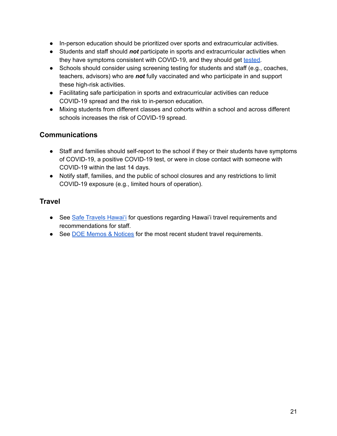- In-person education should be prioritized over sports and extracurricular activities.
- Students and staff should *not* participate in sports and extracurricular activities when they have symptoms consistent with COVID-19, and they should get [tested.](#page-27-2)
- Schools should consider using screening testing for students and staff (e.g., coaches, teachers, advisors) who are *not* fully vaccinated and who participate in and support these high-risk activities.
- Facilitating safe participation in sports and extracurricular activities can reduce COVID-19 spread and the risk to in-person education.
- Mixing students from different classes and cohorts within a school and across different schools increases the risk of COVID-19 spread.

## <span id="page-21-0"></span>**Communications**

- Staff and families should self-report to the school if they or their students have symptoms of COVID-19, a positive COVID-19 test, or were in close contact with someone with COVID-19 within the last 14 days.
- Notify staff, families, and the public of school closures and any restrictions to limit COVID-19 exposure (e.g., limited hours of operation).

## <span id="page-21-1"></span>**Travel**

- See Safe [Travels](https://hawaiicovid19.com/travel/) Hawai'i for questions regarding Hawai'i travel requirements and recommendations for staff.
- See DOE Memos & [Notices](https://alala1.k12.hi.us/PUBLIC/DOEMEMOS.NSF) for the most recent student travel requirements.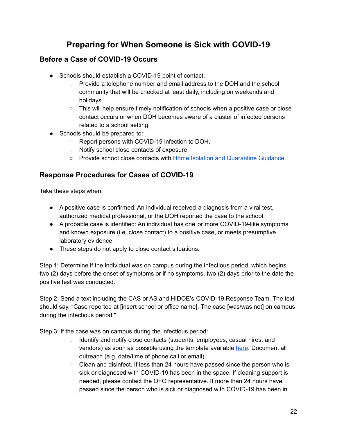# **Preparing for When Someone is Sick with COVID-19**

## <span id="page-22-1"></span><span id="page-22-0"></span>**Before a Case of COVID-19 Occurs**

- Schools should establish a COVID-19 point of contact.
	- Provide a telephone number and email address to the DOH and the school community that will be checked at least daily, including on weekends and holidays.
	- This will help ensure timely notification of schools when a positive case or close contact occurs or when DOH becomes aware of a cluster of infected persons related to a school setting.
- Schools should be prepared to:
	- Report persons with COVID-19 infection to DOH.
	- Notify school close contacts of exposure.
	- Provide school close contacts with Home Isolation and [Quarantine](https://health.hawaii.gov/coronavirusdisease2019/files/2020/08/Isolation-and-Quarantine-072120.pdf) Guidance.

## <span id="page-22-2"></span>**Response Procedures for Cases of COVID-19**

Take these steps when:

- A positive case is confirmed: An individual received a diagnosis from a viral test, authorized medical professional, or the DOH reported the case to the school.
- A probable case is identified: An individual has one or more COVID-19-like symptoms and known exposure (i.e. close contact) to a positive case, or meets presumptive laboratory evidence.
- These steps do not apply to close contact situations.

Step 1: Determine if the individual was on campus during the infectious period, which begins two (2) days before the onset of symptoms or if no symptoms, two (2) days prior to the date the positive test was conducted.

Step 2: Send a text including the CAS or AS and HIDOE's COVID-19 Response Team. The text should say, "Case reported at [insert school or office name]. The case [was/was not] on campus during the infectious period."

Step 3: If the case was on campus during the infectious period:

- Identify and notify close contacts (students, employees, casual hires, and vendors) as soon as possible using the template available [here.](https://docs.google.com/document/d/1VujqVOTYy2TQoT8C24UMEFCKWWmBsKIbSaldYui98wA/edit) Document all outreach (e.g. date/time of phone call or email).
- $\circ$  Clean and disinfect. If less than 24 hours have passed since the person who is sick or diagnosed with COVID-19 has been in the space. If cleaning support is needed, please contact the OFO representative. If more than 24 hours have passed since the person who is sick or diagnosed with COVID-19 has been in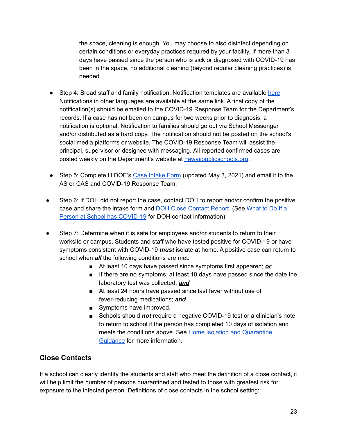the space, cleaning is enough. You may choose to also disinfect depending on certain conditions or everyday practices required by your facility. If more than 3 days have passed since the person who is sick or diagnosed with COVID-19 has been in the space, no additional cleaning (beyond regular cleaning practices) is needed.

- Step 4: Broad staff and family notification. Notification templates are available [here](https://docs.google.com/document/d/1g_IZo6VSf43Ul9bW_QBEBn-Aax1d2iNF8g4CQz3SVuw/edit?usp=sharing). Notifications in other languages are available at the same link. A final copy of the notification(s) should be emailed to the COVID-19 Response Team for the Department's records. If a case has not been on campus for two weeks prior to diagnosis, a notification is optional. Notification to families should go out via School Messenger and/or distributed as a hard copy. The notification should not be posted on the school's social media platforms or website. The COVID-19 Response Team will assist the principal, supervisor or designee with messaging. All reported confirmed cases are posted weekly on the Department's website at [hawaiipublicschools.org](https://www.hawaiipublicschools.org/Pages/Home.aspx).
- Step 5: Complete HIDOE's Case [Intake](https://drive.google.com/file/d/1MTbPB1PZR54_yyI6grqCqTL_-1rFDnTt/view?usp=sharing) Form (updated May 3, 2021) and email it to the AS or CAS and COVID-19 Response Team.
- Step 6: If DOH did not report the case, contact DOH to report and/or confirm the positive case and share the intake form and **DOH Close [Contact](https://drive.google.com/file/d/1Jav1GzUwJQ-4fsBWrPHu4obsGrJ1VPC_/view) Report.** (See [What](https://health.hawaii.gov/coronavirusdisease2019/files/2020/08/What-To-Do-If-A-Person-at-School-Has-COVID-19-080520.pdf) to Do If a Person at School has [COVID-19](https://health.hawaii.gov/coronavirusdisease2019/files/2020/08/What-To-Do-If-A-Person-at-School-Has-COVID-19-080520.pdf) for DOH contact information)
- Step 7: Determine when it is safe for employees and/or students to return to their worksite or campus. Students and staff who have tested positive for COVID-19 or have symptoms consistent with COVID-19 *must* isolate at home. A positive case can return to school when *all* the following conditions are met:
	- At least 10 days have passed since symptoms first appeared; **or**
	- If there are no symptoms, at least 10 days have passed since the date the laboratory test was collected; *and*
	- At least 24 hours have passed since last fever without use of fever-reducing medications; *and*
	- Symptoms have improved.
	- Schools should *not* require a negative COVID-19 test or a clinician's note to return to school if the person has completed 10 days of isolation and meets the conditions above. See Home Isolation and [Quarantine](https://health.hawaii.gov/coronavirusdisease2019/files/2020/08/Isolation-and-Quarantine-072120.pdf) [Guidance](https://health.hawaii.gov/coronavirusdisease2019/files/2020/08/Isolation-and-Quarantine-072120.pdf) for more information.

## <span id="page-23-0"></span>**Close Contacts**

If a school can clearly identify the students and staff who meet the definition of a close contact, it will help limit the number of persons quarantined and tested to those with greatest risk for exposure to the infected person. Definitions of close contacts in the school setting: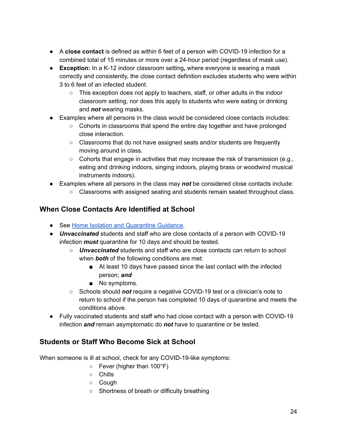- A **close contact** is defined as within 6 feet of a person with COVID-19 infection for a combined total of 15 minutes or more over a 24-hour period (regardless of mask use).
- **Exception:** In a K-12 indoor classroom setting**,** where everyone is wearing a mask correctly and consistently, the close contact definition excludes students who were within 3 to 6 feet of an infected student.
	- $\circ$  This exception does not apply to teachers, staff, or other adults in the indoor classroom setting, nor does this apply to students who were eating or drinking and *not* wearing masks.
- Examples where all persons in the class would be considered close contacts includes:
	- $\circ$  Cohorts in classrooms that spend the entire day together and have prolonged close interaction.
	- Classrooms that do not have assigned seats and/or students are frequently moving around in class.
	- $\circ$  Cohorts that engage in activities that may increase the risk of transmission (e.g., eating and drinking indoors, singing indoors, playing brass or woodwind musical instruments indoors).
- Examples where all persons in the class may *not* be considered close contacts include:
	- Classrooms with assigned seating and students remain seated throughout class.

## <span id="page-24-0"></span>**When Close Contacts Are Identified at School**

- See Home Isolation and [Quarantine](https://health.hawaii.gov/coronavirusdisease2019/files/2020/08/Isolation-and-Quarantine-072120.pdf) Guidance.
- *Unvaccinated* students and staff who are close contacts of a person with COVID-19 infection *must* quarantine for 10 days and should be tested.
	- *Unvaccinated* students and staff who are close contacts can return to school when *both* of the following conditions are met:
		- At least 10 days have passed since the last contact with the infected person; *and*
		- No symptoms.
	- Schools should *not* require a negative COVID-19 test or a clinician's note to return to school if the person has completed 10 days of quarantine and meets the conditions above.
- Fully vaccinated students and staff who had close contact with a person with COVID-19 infection *and* remain asymptomatic do *not* have to quarantine or be tested.

## <span id="page-24-1"></span>**Students or Staff Who Become Sick at School**

When someone is ill at school, check for any COVID-19-like symptoms:

- Fever (higher than 100°F)
- Chills
- Cough
- Shortness of breath or difficulty breathing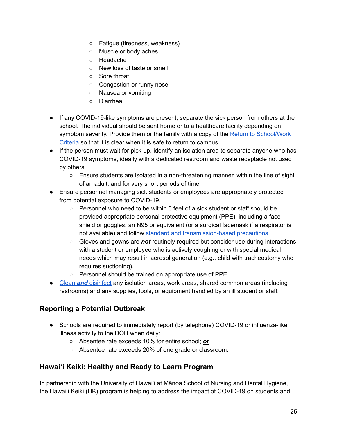- Fatigue (tiredness, weakness)
- Muscle or body aches
- Headache
- New loss of taste or smell
- Sore throat
- Congestion or runny nose
- Nausea or vomiting
- Diarrhea
- If any COVID-19-like symptoms are present, separate the sick person from others at the school. The individual should be sent home or to a healthcare facility depending on symptom severity. Provide them or the family with a copy of the Return to [School/Work](https://www.hawaiipublicschools.org/DOE%20Forms/Return%20to%20School%20Work%20and%20Daily%20Wellness%20Check.pdf) [Criteria](https://www.hawaiipublicschools.org/DOE%20Forms/Return%20to%20School%20Work%20and%20Daily%20Wellness%20Check.pdf) so that it is clear when it is safe to return to campus.
- If the person must wait for pick-up, identify an isolation area to separate anyone who has COVID-19 symptoms, ideally with a dedicated restroom and waste receptacle not used by others.
	- Ensure students are isolated in a non-threatening manner, within the line of sight of an adult, and for very short periods of time.
- Ensure personnel managing sick students or employees are appropriately protected from potential exposure to COVID-19.
	- $\circ$  Personnel who need to be within 6 feet of a sick student or staff should be provided appropriate personal protective equipment (PPE), including a face shield or goggles, an N95 or equivalent (or a surgical facemask if a respirator is not available) and follow standard and [transmission-based](https://www.cdc.gov/coronavirus/2019-ncov/hcp/infection-control-recommendations.html?CDC_AA_refVal=https%3A%2F%2Fwww.cdc.gov%2Fcoronavirus%2F2019-ncov%2Finfection-control%2Fcontrol-recommendations.html) precautions.
	- Gloves and gowns are *not* routinely required but consider use during interactions with a student or employee who is actively coughing or with special medical needs which may result in aerosol generation (e.g., child with tracheostomy who requires suctioning).
	- Personnel should be trained on appropriate use of PPE.
- Clean *and* [disinfect](https://www.cdc.gov/coronavirus/2019-ncov/community/disinfecting-building-facility.html) any isolation areas, work areas, shared common areas (including restrooms) and any supplies, tools, or equipment handled by an ill student or staff.

## <span id="page-25-0"></span>**Reporting a Potential Outbreak**

- Schools are required to immediately report (by telephone) COVID-19 or influenza-like illness activity to the DOH when daily:
	- Absentee rate exceeds 10% for entire school; *or*
	- Absentee rate exceeds 20% of one grade or classroom.

## <span id="page-25-1"></span>**Hawai'i Keiki: Healthy and Ready to Learn Program**

In partnership with the University of Hawai'i at Mānoa School of Nursing and Dental Hygiene, the Hawai'i Keiki (HK) program is helping to address the impact of COVID-19 on students and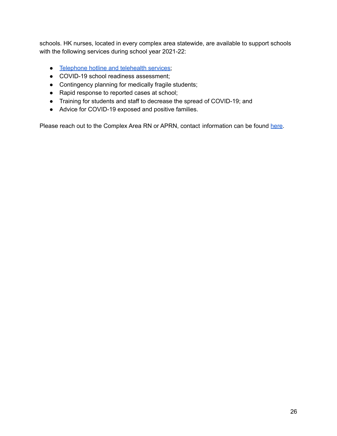schools. HK nurses, located in every complex area statewide, are available to support schools with the following services during school year 2021-22:

- [Telephone](http://www.hawaiipublicschools.org/ConnectWithUs/MediaRoom/PressReleases/Pages/Hotline-available-for-HIDOE-student-related-health-questions-and-telehealth-visits.aspx) hotline and telehealth services;
- COVID-19 school readiness assessment;
- Contingency planning for medically fragile students;
- Rapid response to reported cases at school;
- Training for students and staff to decrease the spread of COVID-19; and
- Advice for COVID-19 exposed and positive families.

Please reach out to the Complex Area RN or APRN, contact information can be found [here.](https://nursing.hawaii.edu/hawaii-keiki/school-based-health-services/nurse-contact-list/)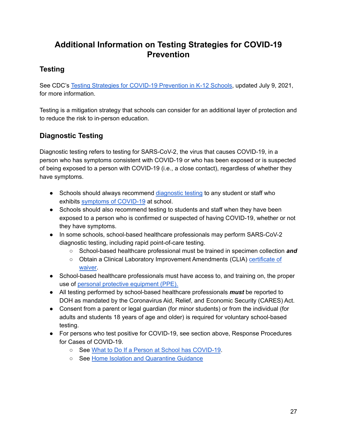# **Additional Information on Testing Strategies for COVID-19 Prevention**

## <span id="page-27-1"></span><span id="page-27-0"></span>**Testing**

See CDC's Testing Strategies for COVID-19 [Prevention](https://www.cdc.gov/coronavirus/2019-ncov/community/schools-childcare/k-12-guidance.html) in K-12 Schools, updated July 9, 2021, for more information.

Testing is a mitigation strategy that schools can consider for an additional layer of protection and to reduce the risk to in-person education.

## <span id="page-27-2"></span>**Diagnostic Testing**

Diagnostic testing refers to testing for SARS-CoV-2, the virus that causes COVID-19, in a person who has symptoms consistent with COVID-19 or who has been exposed or is suspected of being exposed to a person with COVID-19 (i.e., a close contact), regardless of whether they have symptoms.

- Schools should always recommend [diagnostic](https://www.cdc.gov/coronavirus/2019-ncov/lab/testing.html) testing to any student or staff who exhibits symptoms of [COVID-19](https://www.cdc.gov/coronavirus/2019-ncov/symptoms-testing/symptoms.html) at school.
- Schools should also recommend testing to students and staff when they have been exposed to a person who is confirmed or suspected of having COVID-19, whether or not they have symptoms.
- In some schools, school-based healthcare professionals may perform SARS-CoV-2 diagnostic testing, including rapid point-of-care testing.
	- School-based healthcare professional must be trained in specimen collection *and*
	- Obtain a Clinical Laboratory Improvement Amendments (CLIA) [certificate](https://www.fda.gov/medical-devices/ivd-regulatory-assistance/clia-waiver-application) of [waiver.](https://www.fda.gov/medical-devices/ivd-regulatory-assistance/clia-waiver-application)
- School-based healthcare professionals must have access to, and training on, the proper use of personal protective [equipment](https://www.cdc.gov/coronavirus/2019-ncov/hcp/using-ppe.html) (PPE).
- All testing performed by school-based healthcare professionals *must* be reported to DOH as mandated by the Coronavirus Aid, Relief, and Economic Security (CARES) Act.
- Consent from a parent or legal guardian (for minor students) or from the individual (for adults and students 18 years of age and older) is required for voluntary school-based testing.
- For persons who test positive for COVID-19, see section above, Response Procedures for Cases of COVID-19.
	- See What to Do If a Person at School has [COVID-19](https://health.hawaii.gov/coronavirusdisease2019/files/2020/08/What-To-Do-If-A-Person-at-School-Has-COVID-19-080520.pdf).
	- See Home Isolation and [Quarantine](https://health.hawaii.gov/coronavirusdisease2019/files/2020/08/Isolation-and-Quarantine-072120.pdf) Guidance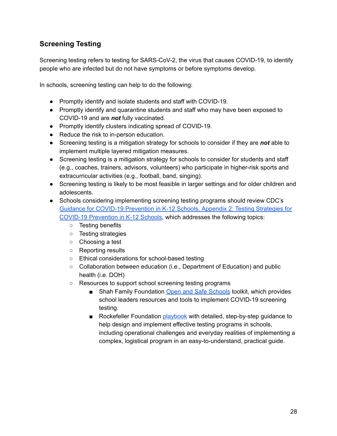## <span id="page-28-0"></span>**Screening Testing**

Screening testing refers to testing for SARS-CoV-2, the virus that causes COVID-19, to identify people who are infected but do not have symptoms or before symptoms develop.

In schools, screening testing can help to do the following:

- Promptly identify and isolate students and staff with COVID-19.
- Promptly identify and quarantine students and staff who may have been exposed to COVID-19 and are *not* fully vaccinated.
- Promptly identify clusters indicating spread of COVID-19.
- Reduce the risk to in-person education.
- Screening testing is a mitigation strategy for schools to consider if they are *not* able to implement multiple layered mitigation measures.
- Screening testing is a mitigation strategy for schools to consider for students and staff (e.g., coaches, trainers, advisors, volunteers) who participate in higher-risk sports and extracurricular activities (e.g., football, band, singing).
- Screening testing is likely to be most feasible in larger settings and for older children and adolescents.
- Schools considering implementing screening testing programs should review CDC'[s](https://www.cdc.gov/coronavirus/2019-ncov/community/schools-childcare/k-12-guidance.html) Guidance for COVID-19 [Prevention](https://www.cdc.gov/coronavirus/2019-ncov/community/schools-childcare/k-12-guidance.html) in K-12 Schools, Appendix 2: Testing Strategies for COVID-19 [Prevention](https://www.cdc.gov/coronavirus/2019-ncov/community/schools-childcare/k-12-guidance.html) in K-12 Schools, which addresses the following topics:
	- Testing benefits
	- Testing strategies
	- Choosing a test
	- Reporting results
	- Ethical considerations for school-based testing
	- Collaboration between education (i.e., Department of Education) and public health (i.e. DOH)
	- Resources to support school screening testing programs
		- Shah Family Foundation Open and Safe [Schools](https://www.openandsafeschools.org/) toolkit, which provides school leaders resources and tools to implement COVID-19 screening testing.
		- Rockefeller Foundation [playbook](https://www.rockefellerfoundation.org/report/covid-19-testing-in-k-12-settings-a-playbook-for-educators-and-leaders/) with detailed, step-by-step guidance to help design and implement effective testing programs in schools, including operational challenges and everyday realities of implementing a complex, logistical program in an easy-to-understand, practical guide.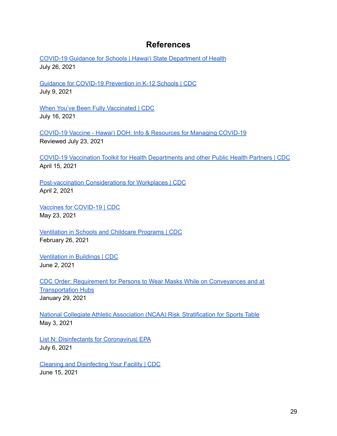## **References**

<span id="page-29-0"></span>COVID-19 Guidance for Schools | Hawai'i State [Department](https://health.hawaii.gov/coronavirusdisease2019/resources/school-guidance/) of Health July 26, 2021

Guidance for COVID-19 [Prevention](https://www.cdc.gov/coronavirus/2019-ncov/community/schools-childcare/k-12-guidance.html) in K-12 Schools | CDC July 9, 2021

When You've Been Fully [Vaccinated](https://www.cdc.gov/coronavirus/2019-ncov/vaccines/fully-vaccinated.html) | CDC July 16, 2021

COVID-19 Vaccine - Hawai'i DOH: Info & [Resources](https://hawaiicovid19.com/vaccine/) for Managing COVID-19 Reviewed July 23, 2021

COVID-19 Vaccination Toolkit for Health [Departments](https://www.cdc.gov/coronavirus/2019-ncov/vaccines/toolkits/health-departments.html) and other Public Health Partners | CDC April 15, 2021

[Post-vaccination](https://www.cdc.gov/coronavirus/2019-ncov/community/workplaces-businesses/vaccination-considerations-for-workplaces.html) Considerations for Workplaces | CDC April 2, 2021

Vaccines for [COVID-19](https://www.cdc.gov/coronavirus/2019-ncov/vaccines/index.html) | CDC May 23, 2021

[Ventilation](https://www.cdc.gov/coronavirus/2019-ncov/community/schools-childcare/ventilation.html) in Schools and Childcare Programs | CDC February 26, 2021

[Ventilation](https://www.cdc.gov/coronavirus/2019-ncov/community/ventilation.html#Ventilation-FAQs) in Buildings | CDC June 2, 2021

CDC Order: Requirement for Persons to Wear Masks While on [Conveyances](https://www.cdc.gov/quarantine/pdf/Mask-Order-CDC_GMTF_01-29-21-p.pdf) and at **[Transportation](https://www.cdc.gov/quarantine/pdf/Mask-Order-CDC_GMTF_01-29-21-p.pdf) Hubs** January 29, 2021

National Collegiate Athletic Association (NCAA) Risk [Stratification](https://ncaaorg.s3.amazonaws.com/ssi/COVID/SSI_ResocializationDevelopingStandardsSecondEdition.pdf) for Sports Table May 3, 2021

List N: [Disinfectants](https://www.epa.gov/coronavirus/about-list-n-disinfectants-coronavirus-covid-19-0) for Coronavirus| EPA July 6, 2021

Cleaning and [Disinfecting](https://www.cdc.gov/coronavirus/2019-ncov/community/disinfecting-building-facility.html) Your Facility | CDC June 15, 2021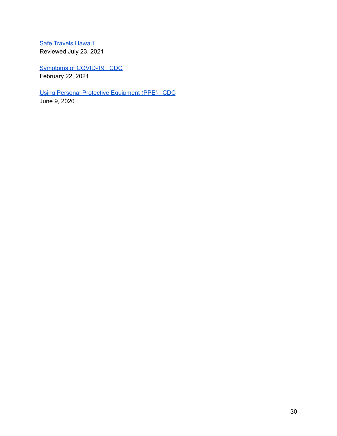Safe [Travels](https://hawaiicovid19.com/travel/) Hawai'i Reviewed July 23, 2021

[Symptoms](https://www.cdc.gov/coronavirus/2019-ncov/symptoms-testing/symptoms.html) of COVID-19 | CDC February 22, 2021

Using Personal Protective [Equipment](https://www.cdc.gov/coronavirus/2019-ncov/hcp/using-ppe.html) (PPE) | CDC June 9, 2020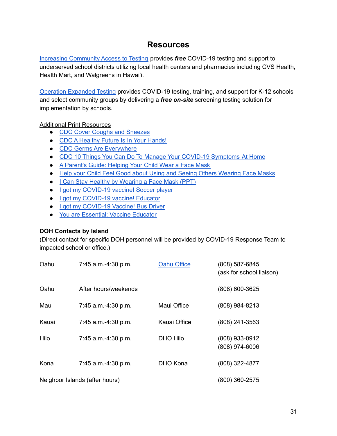## **Resources**

<span id="page-31-0"></span>Increasing [Community](https://www.hhs.gov/coronavirus/community-based-testing-sites/index.html) Access to Testing provides *free* COVID-19 testing and support to underserved school districts utilizing local health centers and pharmacies including CVS Health, Health Mart, and Walgreens in Hawai'i.

Operation [Expanded](https://perkinelmer-appliedgenomics.com/home/sars-cov-2-testing-solutions/no-cost-covid-19-testing/) Testing provides COVID-19 testing, training, and support for K-12 schools and select community groups by delivering a *free on-site* screening testing solution for implementation by schools.

#### Additional Print Resources

- CDC Cover Coughs and [Sneezes](https://www.cdc.gov/coronavirus/2019-ncov/downloads/cover-your-cough_poster.pdf)
- CDC A [Healthy](https://www.cdc.gov/handwashing/pdf/poster-healthy-future.pdf) Future Is In Your Hands!
- CDC Germs Are [Everywhere](https://www.cdc.gov/handwashing/pdf/poster-germs-are-everywhere.pdf)
- CDC 10 Things You Can Do To Manage Your COVID-19 [Symptoms](https://www.cdc.gov/coronavirus/2019-ncov/downloads/10Things.pdf) At Home
- A [Parent's](https://rwjms.rutgers.edu/boggscenter/Links/documents/ParentGuide-HelpingYourChildWearaFaceMask-F.pdf) Guide: Helping Your Child Wear a Face Mask
- Help your Child Feel Good about Using and Seeing Others [Wearing](https://rwjms.rutgers.edu/boggscenter/Links/documents/HelpyourChildFeelGoodaboutUsingandSeeingOthersWearingFaceMasks-F.PDF) Face Masks
- I Can Stay Healthy by [Wearing](https://rwjms.rutgers.edu/boggscenter/Links/documents/ICanStayHealthybyWearingaFaceMask-F.PDF) a Face Mask (PPT)
- I got my [COVID-19](https://www.cdc.gov/coronavirus/2019-ncov/downloads/vaccines/CDC_school_vaccine_clinic_student_athlete2.pdf) vaccine! Soccer player
- I got my [COVID-19](https://www.cdc.gov/coronavirus/2019-ncov/downloads/vaccines/toolkits/CDC_COVID_Protect-Against-COVID-19-Male-Educator.pdf) vaccine! Educator
- I got my [COVID-19](https://www.cdc.gov/coronavirus/2019-ncov/downloads/vaccines/toolkits/CDC_COVID_Protect-Against-COVID-19-Bus-Driver.pdf) Vaccine! Bus Driver
- You are [Essential:](https://www.cdc.gov/coronavirus/2019-ncov/downloads/vaccines/toolkits/CDC-Essential-Worker-Poster-WITH-CDC_F_01.pdf) Vaccine Educator

#### **DOH Contacts by Island**

(Direct contact for specific DOH personnel will be provided by COVID-19 Response Team to impacted school or office.)

| Oahu  | 7:45 a.m.-4:30 p.m.            | <b>Oahu Office</b> | (808) 587-6845<br>(ask for school liaison) |
|-------|--------------------------------|--------------------|--------------------------------------------|
| Oahu  | After hours/weekends           |                    | (808) 600-3625                             |
| Maui  | 7:45 a.m.-4:30 p.m.            | Maui Office        | (808) 984-8213                             |
| Kauai | 7:45 a.m.-4:30 p.m.            | Kauai Office       | (808) 241-3563                             |
| Hilo  | 7:45 a.m.-4:30 p.m.            | DHO Hilo           | (808) 933-0912<br>(808) 974-6006           |
| Kona  | 7:45 a.m.-4:30 p.m.            | DHO Kona           | (808) 322-4877                             |
|       | Neighbor Islands (after hours) |                    | (800) 360-2575                             |